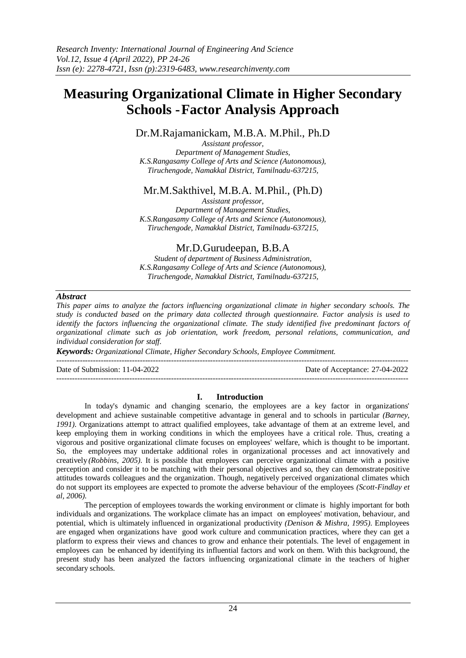# **Measuring Organizational Climate in Higher Secondary Schools -Factor Analysis Approach**

Dr.M.Rajamanickam, M.B.A. M.Phil., Ph.D

*Assistant professor, Department of Management Studies, K.S.Rangasamy College of Arts and Science (Autonomous), Tiruchengode, Namakkal District, Tamilnadu-637215,*

## Mr.M.Sakthivel, M.B.A. M.Phil., (Ph.D)

*Assistant professor, Department of Management Studies, K.S.Rangasamy College of Arts and Science (Autonomous), Tiruchengode, Namakkal District, Tamilnadu-637215,*

# Mr.D.Gurudeepan, B.B.A

*Student of department of Business Administration, K.S.Rangasamy College of Arts and Science (Autonomous), Tiruchengode, Namakkal District, Tamilnadu-637215,*

## *Abstract*

*This paper aims to analyze the factors influencing organizational climate in higher secondary schools. The study is conducted based on the primary data collected through questionnaire. Factor analysis is used to identify the factors influencing the organizational climate. The study identified five predominant factors of organizational climate such as job orientation, work freedom, personal relations, communication, and individual consideration for staff.*

*Keywords: Organizational Climate, Higher Secondary Schools, Employee Commitment.*

---------------------------------------------------------------------------------------------------------------------------------------

Date of Submission: 11-04-2022 Date of Acceptance: 27-04-2022

#### **I. Introduction**

 $-1-\frac{1}{2}$ 

In today's dynamic and changing scenario, the employees are a key factor in organizations' development and achieve sustainable competitive advantage in general and to schools in particular *(Barney, 1991)*. Organizations attempt to attract qualified employees, take advantage of them at an extreme level, and keep employing them in working conditions in which the employees have a critical role. Thus, creating a vigorous and positive organizational climate focuses on employees' welfare, which is thought to be important. So, the employees may undertake additional roles in organizational processes and act innovatively and creatively *(Robbins, 2005)*. It is possible that employees can perceive organizational climate with a positive perception and consider it to be matching with their personal objectives and so, they can demonstrate positive attitudes towards colleagues and the organization. Though, negatively perceived organizational climates which do not support its employees are expected to promote the adverse behaviour of the employees *(Scott-Findlay et al, 2006)*.

The perception of employees towards the working environment or climate is highly important for both individuals and organizations. The workplace climate has an impact on employees' motivation, behaviour, and potential, which is ultimately influenced in organizational productivity *(Denison & Mishra, 1995)*. Employees are engaged when organizations have good work culture and communication practices, where they can get a platform to express their views and chances to grow and enhance their potentials. The level of engagement in employees can be enhanced by identifying its influential factors and work on them. With this background, the present study has been analyzed the factors influencing organizational climate in the teachers of higher secondary schools.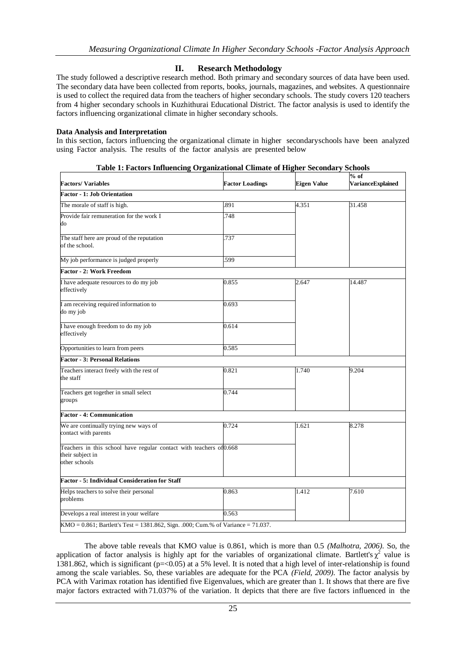## **II. Research Methodology**

The study followed a descriptive research method. Both primary and secondary sources of data have been used. The secondary data have been collected from reports, books, journals, magazines, and websites. A questionnaire is used to collect the required data from the teachers of higher secondary schools. The study covers 120 teachers from 4 higher secondary schools in Kuzhithurai Educational District. The factor analysis is used to identify the factors influencing organizational climate in higher secondary schools.

#### **Data Analysis and Interpretation**

In this section, factors influencing the organizational climate in higher secondaryschools have been analyzed using Factor analysis. The results of the factor analysis are presented below

| тале т. гассогу питаенств отданилация с питате от гиднег эссонаат у эсноогу                              |                        |             | $%$ of                   |
|----------------------------------------------------------------------------------------------------------|------------------------|-------------|--------------------------|
| <b>Factors/Variables</b>                                                                                 | <b>Factor Loadings</b> | Eigen Value | <b>VarianceExplained</b> |
| <b>Factor - 1: Job Orientation</b>                                                                       |                        |             |                          |
| The morale of staff is high.                                                                             | 891                    | 4.351       | 31.458                   |
| Provide fair remuneration for the work I<br>do                                                           | 748                    |             |                          |
| The staff here are proud of the reputation<br>of the school.                                             | 737                    |             |                          |
| My job performance is judged properly                                                                    | 599                    |             |                          |
| <b>Factor - 2: Work Freedom</b>                                                                          |                        |             |                          |
| I have adequate resources to do my job<br>effectively                                                    | 0.855                  | 2.647       | 14.487                   |
| I am receiving required information to<br>do my job                                                      | 0.693                  |             |                          |
| I have enough freedom to do my job<br>effectively                                                        | 0.614                  |             |                          |
| Opportunities to learn from peers                                                                        | 0.585                  |             |                          |
| <b>Factor - 3: Personal Relations</b>                                                                    |                        |             |                          |
| Teachers interact freely with the rest of<br>the staff                                                   | 0.821                  | 1.740       | 9.204                    |
| Teachers get together in small select<br>groups                                                          | 0.744                  |             |                          |
| <b>Factor - 4: Communication</b>                                                                         |                        |             |                          |
| We are continually trying new ways of<br>contact with parents                                            | 0.724                  | 1.621       | 8.278                    |
| Teachers in this school have regular contact with teachers of 0.668<br>their subject in<br>other schools |                        |             |                          |
| Factor - 5: Individual Consideration for Staff                                                           |                        |             |                          |
| Helps teachers to solve their personal<br>problems                                                       | 0.863                  | 1.412       | 7.610                    |
| Develops a real interest in your welfare                                                                 | 0.563                  |             |                          |
| KMO = 0.861; Bartlett's Test = 1381.862, Sign. .000; Cum.% of Variance = 71.037.                         |                        |             |                          |

**Table 1: Factors Influencing Organizational Climate of Higher Secondary Schools**

The above table reveals that KMO value is 0.861, which is more than 0.5 *(Malhotra, 2006)*. So, the application of factor analysis is highly apt for the variables of organizational climate. Bartlett's  $\chi^2$  value is 1381.862, which is significant (p=<0.05) at a 5% level. It is noted that a high level of inter-relationship is found among the scale variables. So, these variables are adequate for the PCA *(Field, 2009)*. The factor analysis by PCA with Varimax rotation has identified five Eigenvalues, which are greater than 1. It shows that there are five major factors extracted with 71.037% of the variation. It depicts that there are five factors influenced in the